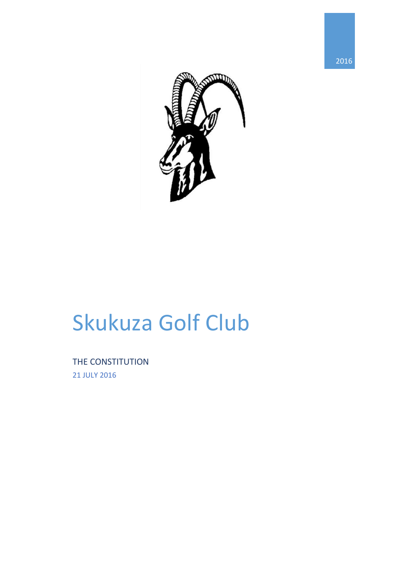

# Skukuza Golf Club

THE CONSTITUTION 21 JULY 2016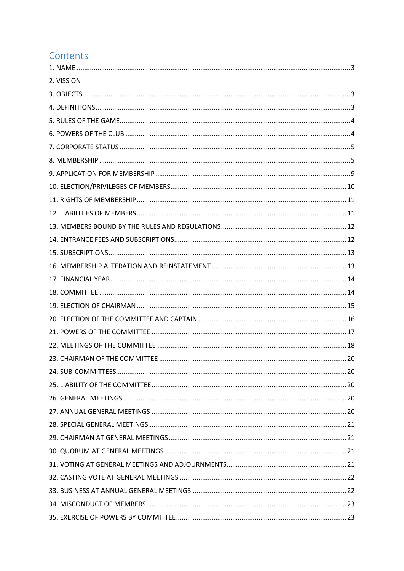## Contents

| 2. VISSION |  |
|------------|--|
|            |  |
|            |  |
|            |  |
|            |  |
|            |  |
|            |  |
|            |  |
|            |  |
|            |  |
|            |  |
|            |  |
|            |  |
|            |  |
|            |  |
|            |  |
|            |  |
|            |  |
|            |  |
|            |  |
|            |  |
|            |  |
|            |  |
|            |  |
|            |  |
|            |  |
|            |  |
|            |  |
|            |  |
|            |  |
|            |  |
|            |  |
|            |  |
|            |  |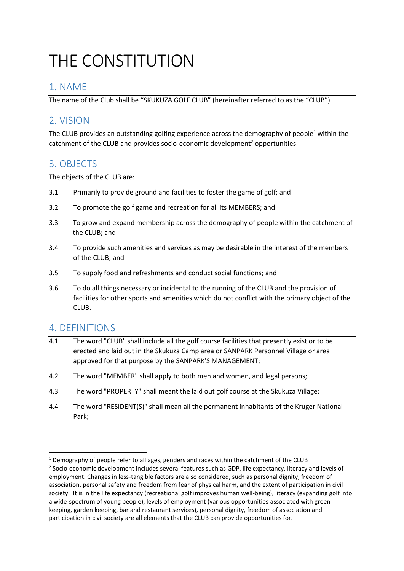## THE CONSTITUTION

## <span id="page-3-0"></span>1. NAME

The name of the Club shall be "SKUKUZA GOLF CLUB" (hereinafter referred to as the "CLUB")

### <span id="page-3-1"></span>2. VISION

The CLUB provides an outstanding golfing experience across the demography of people<sup>1</sup> within the catchment of the CLUB and provides socio-economic development<sup>2</sup> opportunities.

#### 3. OBJECTS

The objects of the CLUB are:

- 3.1 Primarily to provide ground and facilities to foster the game of golf; and
- 3.2 To promote the golf game and recreation for all its MEMBERS; and
- 3.3 To grow and expand membership across the demography of people within the catchment of the CLUB; and
- 3.4 To provide such amenities and services as may be desirable in the interest of the members of the CLUB; and
- 3.5 To supply food and refreshments and conduct social functions; and
- 3.6 To do all things necessary or incidental to the running of the CLUB and the provision of facilities for other sports and amenities which do not conflict with the primary object of the CLUB.

#### <span id="page-3-2"></span>4. DEFINITIONS

**.** 

- 4.1 The word "CLUB" shall include all the golf course facilities that presently exist or to be erected and laid out in the Skukuza Camp area or SANPARK Personnel Village or area approved for that purpose by the SANPARK'S MANAGEMENT;
- 4.2 The word "MEMBER" shall apply to both men and women, and legal persons;
- 4.3 The word "PROPERTY" shall meant the laid out golf course at the Skukuza Village;
- 4.4 The word "RESIDENT(S)" shall mean all the permanent inhabitants of the Kruger National Park;

 $1$  Demography of people refer to all ages, genders and races within the catchment of the CLUB

<sup>&</sup>lt;sup>2</sup> Socio-economic development includes several features such as GDP, life expectancy, literacy and levels of employment. Changes in less-tangible factors are also considered, such as personal dignity, freedom of association, personal safety and freedom from fear of physical harm, and the extent of participation in civil society. It is in the life expectancy (recreational golf improves human well-being), literacy (expanding golf into a wide-spectrum of young people), levels of employment (various opportunities associated with green keeping, garden keeping, bar and restaurant services), personal dignity, freedom of association and participation in civil society are all elements that the CLUB can provide opportunities for.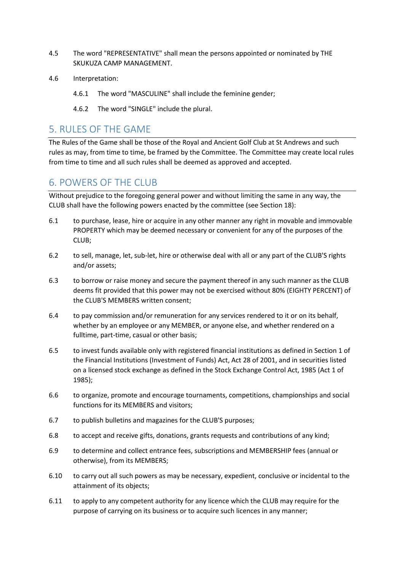- 4.5 The word "REPRESENTATIVE" shall mean the persons appointed or nominated by THE SKUKUZA CAMP MANAGEMENT.
- 4.6 Interpretation:
	- 4.6.1 The word "MASCULINE" shall include the feminine gender;
	- 4.6.2 The word "SINGLE" include the plural.

#### <span id="page-4-0"></span>5. RULES OF THE GAME

The Rules of the Game shall be those of the Royal and Ancient Golf Club at St Andrews and such rules as may, from time to time, be framed by the Committee. The Committee may create local rules from time to time and all such rules shall be deemed as approved and accepted.

#### <span id="page-4-1"></span>6. POWERS OF THE CLUB

Without prejudice to the foregoing general power and without limiting the same in any way, the CLUB shall have the following powers enacted by the committee (see Section 18):

- 6.1 to purchase, lease, hire or acquire in any other manner any right in movable and immovable PROPERTY which may be deemed necessary or convenient for any of the purposes of the CLUB;
- 6.2 to sell, manage, let, sub-let, hire or otherwise deal with all or any part of the CLUB'S rights and/or assets;
- 6.3 to borrow or raise money and secure the payment thereof in any such manner as the CLUB deems fit provided that this power may not be exercised without 80% (EIGHTY PERCENT) of the CLUB'S MEMBERS written consent;
- 6.4 to pay commission and/or remuneration for any services rendered to it or on its behalf, whether by an employee or any MEMBER, or anyone else, and whether rendered on a fulltime, part-time, casual or other basis;
- 6.5 to invest funds available only with registered financial institutions as defined in Section 1 of the Financial Institutions (Investment of Funds) Act, Act 28 of 2001, and in securities listed on a licensed stock exchange as defined in the Stock Exchange Control Act, 1985 (Act 1 of 1985);
- 6.6 to organize, promote and encourage tournaments, competitions, championships and social functions for its MEMBERS and visitors;
- 6.7 to publish bulletins and magazines for the CLUB'S purposes;
- 6.8 to accept and receive gifts, donations, grants requests and contributions of any kind;
- 6.9 to determine and collect entrance fees, subscriptions and MEMBERSHIP fees (annual or otherwise), from its MEMBERS;
- 6.10 to carry out all such powers as may be necessary, expedient, conclusive or incidental to the attainment of its objects;
- 6.11 to apply to any competent authority for any licence which the CLUB may require for the purpose of carrying on its business or to acquire such licences in any manner;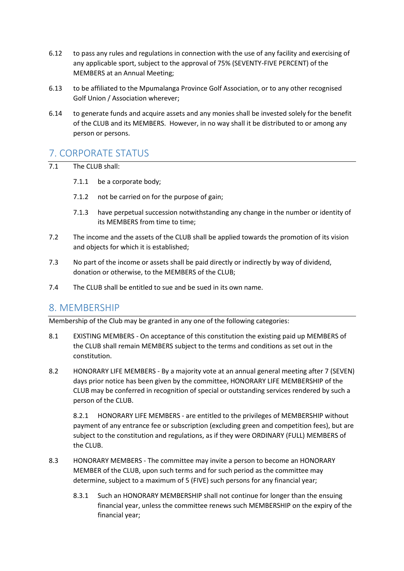- 6.12 to pass any rules and regulations in connection with the use of any facility and exercising of any applicable sport, subject to the approval of 75% (SEVENTY-FIVE PERCENT) of the MEMBERS at an Annual Meeting;
- 6.13 to be affiliated to the Mpumalanga Province Golf Association, or to any other recognised Golf Union / Association wherever;
- 6.14 to generate funds and acquire assets and any monies shall be invested solely for the benefit of the CLUB and its MEMBERS. However, in no way shall it be distributed to or among any person or persons.

#### <span id="page-5-0"></span>7. CORPORATE STATUS

- 7.1 The CLUB shall:
	- 7.1.1 be a corporate body;
	- 7.1.2 not be carried on for the purpose of gain;
	- 7.1.3 have perpetual succession notwithstanding any change in the number or identity of its MEMBERS from time to time;
- 7.2 The income and the assets of the CLUB shall be applied towards the promotion of its vision and objects for which it is established;
- 7.3 No part of the income or assets shall be paid directly or indirectly by way of dividend, donation or otherwise, to the MEMBERS of the CLUB;
- 7.4 The CLUB shall be entitled to sue and be sued in its own name.

#### <span id="page-5-1"></span>8. MEMBERSHIP

Membership of the Club may be granted in any one of the following categories:

- 8.1 EXISTING MEMBERS On acceptance of this constitution the existing paid up MEMBERS of the CLUB shall remain MEMBERS subject to the terms and conditions as set out in the constitution.
- 8.2 HONORARY LIFE MEMBERS By a majority vote at an annual general meeting after 7 (SEVEN) days prior notice has been given by the committee, HONORARY LIFE MEMBERSHIP of the CLUB may be conferred in recognition of special or outstanding services rendered by such a person of the CLUB.

8.2.1 HONORARY LIFE MEMBERS - are entitled to the privileges of MEMBERSHIP without payment of any entrance fee or subscription (excluding green and competition fees), but are subject to the constitution and regulations, as if they were ORDINARY (FULL) MEMBERS of the CLUB.

- 8.3 HONORARY MEMBERS The committee may invite a person to become an HONORARY MEMBER of the CLUB, upon such terms and for such period as the committee may determine, subject to a maximum of 5 (FIVE) such persons for any financial year;
	- 8.3.1 Such an HONORARY MEMBERSHIP shall not continue for longer than the ensuing financial year, unless the committee renews such MEMBERSHIP on the expiry of the financial year;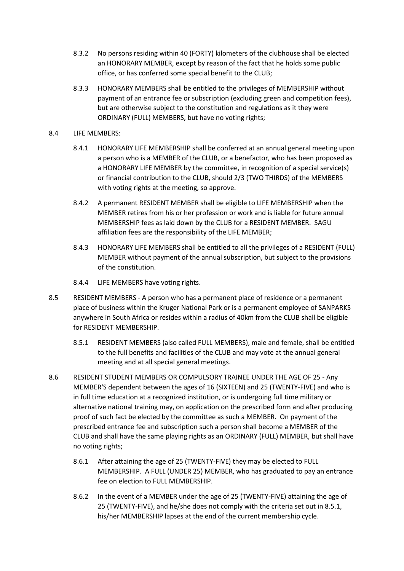- 8.3.2 No persons residing within 40 (FORTY) kilometers of the clubhouse shall be elected an HONORARY MEMBER, except by reason of the fact that he holds some public office, or has conferred some special benefit to the CLUB;
- 8.3.3 HONORARY MEMBERS shall be entitled to the privileges of MEMBERSHIP without payment of an entrance fee or subscription (excluding green and competition fees), but are otherwise subject to the constitution and regulations as it they were ORDINARY (FULL) MEMBERS, but have no voting rights;
- 8.4 LIFE MEMBERS:
	- 8.4.1 HONORARY LIFE MEMBERSHIP shall be conferred at an annual general meeting upon a person who is a MEMBER of the CLUB, or a benefactor, who has been proposed as a HONORARY LIFE MEMBER by the committee, in recognition of a special service(s) or financial contribution to the CLUB, should 2/3 (TWO THIRDS) of the MEMBERS with voting rights at the meeting, so approve.
	- 8.4.2 A permanent RESIDENT MEMBER shall be eligible to LIFE MEMBERSHIP when the MEMBER retires from his or her profession or work and is liable for future annual MEMBERSHIP fees as laid down by the CLUB for a RESIDENT MEMBER. SAGU affiliation fees are the responsibility of the LIFE MEMBER;
	- 8.4.3 HONORARY LIFE MEMBERS shall be entitled to all the privileges of a RESIDENT (FULL) MEMBER without payment of the annual subscription, but subject to the provisions of the constitution.
	- 8.4.4 LIFE MEMBERS have voting rights.
- 8.5 RESIDENT MEMBERS A person who has a permanent place of residence or a permanent place of business within the Kruger National Park or is a permanent employee of SANPARKS anywhere in South Africa or resides within a radius of 40km from the CLUB shall be eligible for RESIDENT MEMBERSHIP.
	- 8.5.1 RESIDENT MEMBERS (also called FULL MEMBERS), male and female, shall be entitled to the full benefits and facilities of the CLUB and may vote at the annual general meeting and at all special general meetings.
- 8.6 RESIDENT STUDENT MEMBERS OR COMPULSORY TRAINEE UNDER THE AGE OF 25 Any MEMBER'S dependent between the ages of 16 (SIXTEEN) and 25 (TWENTY-FIVE) and who is in full time education at a recognized institution, or is undergoing full time military or alternative national training may, on application on the prescribed form and after producing proof of such fact be elected by the committee as such a MEMBER. On payment of the prescribed entrance fee and subscription such a person shall become a MEMBER of the CLUB and shall have the same playing rights as an ORDINARY (FULL) MEMBER, but shall have no voting rights;
	- 8.6.1 After attaining the age of 25 (TWENTY-FIVE) they may be elected to FULL MEMBERSHIP. A FULL (UNDER 25) MEMBER, who has graduated to pay an entrance fee on election to FULL MEMBERSHIP.
	- 8.6.2 In the event of a MEMBER under the age of 25 (TWENTY-FIVE) attaining the age of 25 (TWENTY-FIVE), and he/she does not comply with the criteria set out in 8.5.1, his/her MEMBERSHIP lapses at the end of the current membership cycle.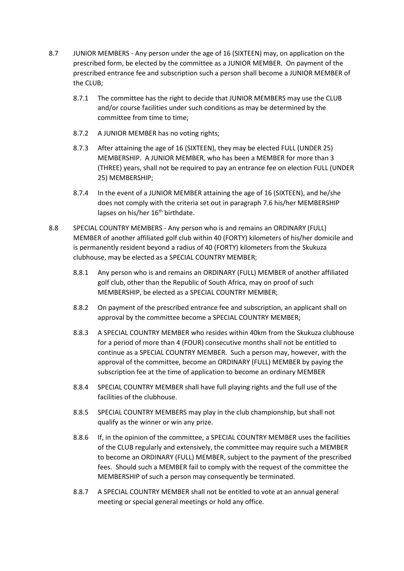- 8.7 JUNIOR MEMBERS Any person under the age of 16 (SIXTEEN) may, on application on the prescribed form, be elected by the committee as a JUNIOR MEMBER. On payment of the prescribed entrance fee and subscription such a person shall become a JUNIOR MEMBER of the CLUB;
	- 8.7.1 The committee has the right to decide that JUNIOR MEMBERS may use the CLUB and/or course facilities under such conditions as may be determined by the committee from time to time;
	- 8.7.2 A JUNIOR MEMBER has no voting rights;
	- 8.7.3 After attaining the age of 16 (SIXTEEN), they may be elected FULL (UNDER 25) MEMBERSHIP. A JUNIOR MEMBER, who has been a MEMBER for more than 3 (THREE) years, shall not be required to pay an entrance fee on election FULL (UNDER 25) MEMBERSHIP;
	- 8.7.4 In the event of a JUNIOR MEMBER attaining the age of 16 (SIXTEEN), and he/she does not comply with the criteria set out in paragraph 7.6 his/her MEMBERSHIP lapses on his/her 16<sup>th</sup> birthdate.
- 8.8 SPECIAL COUNTRY MEMBERS Any person who is and remains an ORDINARY (FULL) MEMBER of another affiliated golf club within 40 (FORTY) kilometers of his/her domicile and is permanently resident beyond a radius of 40 (FORTY) kilometers from the Skukuza clubhouse, may be elected as a SPECIAL COUNTRY MEMBER;
	- 8.8.1 Any person who is and remains an ORDINARY (FULL) MEMBER of another affiliated golf club, other than the Republic of South Africa, may on proof of such MEMBERSHIP, be elected as a SPECIAL COUNTRY MEMBER;
	- 8.8.2 On payment of the prescribed entrance fee and subscription, an applicant shall on approval by the committee become a SPECIAL COUNTRY MEMBER;
	- 8.8.3 A SPECIAL COUNTRY MEMBER who resides within 40km from the Skukuza clubhouse for a period of more than 4 (FOUR) consecutive months shall not be entitled to continue as a SPECIAL COUNTRY MEMBER. Such a person may, however, with the approval of the committee, become an ORDINARY (FULL) MEMBER by paying the subscription fee at the time of application to become an ordinary MEMBER
	- 8.8.4 SPECIAL COUNTRY MEMBER shall have full playing rights and the full use of the facilities of the clubhouse.
	- 8.8.5 SPECIAL COUNTRY MEMBERS may play in the club championship, but shall not qualify as the winner or win any prize.
	- 8.8.6 If, in the opinion of the committee, a SPECIAL COUNTRY MEMBER uses the facilities of the CLUB regularly and extensively, the committee may require such a MEMBER to become an ORDINARY (FULL) MEMBER, subject to the payment of the prescribed fees. Should such a MEMBER fail to comply with the request of the committee the MEMBERSHIP of such a person may consequently be terminated.
	- 8.8.7 A SPECIAL COUNTRY MEMBER shall not be entitled to vote at an annual general meeting or special general meetings or hold any office.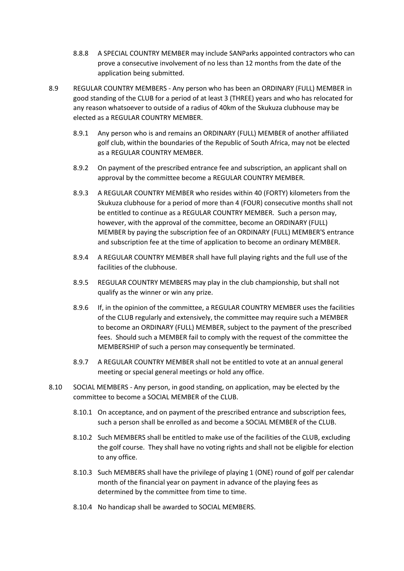- 8.8.8 A SPECIAL COUNTRY MEMBER may include SANParks appointed contractors who can prove a consecutive involvement of no less than 12 months from the date of the application being submitted.
- 8.9 REGULAR COUNTRY MEMBERS Any person who has been an ORDINARY (FULL) MEMBER in good standing of the CLUB for a period of at least 3 (THREE) years and who has relocated for any reason whatsoever to outside of a radius of 40km of the Skukuza clubhouse may be elected as a REGULAR COUNTRY MEMBER.
	- 8.9.1 Any person who is and remains an ORDINARY (FULL) MEMBER of another affiliated golf club, within the boundaries of the Republic of South Africa, may not be elected as a REGULAR COUNTRY MEMBER.
	- 8.9.2 On payment of the prescribed entrance fee and subscription, an applicant shall on approval by the committee become a REGULAR COUNTRY MEMBER.
	- 8.9.3 A REGULAR COUNTRY MEMBER who resides within 40 (FORTY) kilometers from the Skukuza clubhouse for a period of more than 4 (FOUR) consecutive months shall not be entitled to continue as a REGULAR COUNTRY MEMBER. Such a person may, however, with the approval of the committee, become an ORDINARY (FULL) MEMBER by paying the subscription fee of an ORDINARY (FULL) MEMBER'S entrance and subscription fee at the time of application to become an ordinary MEMBER.
	- 8.9.4 A REGULAR COUNTRY MEMBER shall have full playing rights and the full use of the facilities of the clubhouse.
	- 8.9.5 REGULAR COUNTRY MEMBERS may play in the club championship, but shall not qualify as the winner or win any prize.
	- 8.9.6 If, in the opinion of the committee, a REGULAR COUNTRY MEMBER uses the facilities of the CLUB regularly and extensively, the committee may require such a MEMBER to become an ORDINARY (FULL) MEMBER, subject to the payment of the prescribed fees. Should such a MEMBER fail to comply with the request of the committee the MEMBERSHIP of such a person may consequently be terminated.
	- 8.9.7 A REGULAR COUNTRY MEMBER shall not be entitled to vote at an annual general meeting or special general meetings or hold any office.
- 8.10 SOCIAL MEMBERS Any person, in good standing, on application, may be elected by the committee to become a SOCIAL MEMBER of the CLUB.
	- 8.10.1 On acceptance, and on payment of the prescribed entrance and subscription fees, such a person shall be enrolled as and become a SOCIAL MEMBER of the CLUB.
	- 8.10.2 Such MEMBERS shall be entitled to make use of the facilities of the CLUB, excluding the golf course. They shall have no voting rights and shall not be eligible for election to any office.
	- 8.10.3 Such MEMBERS shall have the privilege of playing 1 (ONE) round of golf per calendar month of the financial year on payment in advance of the playing fees as determined by the committee from time to time.
	- 8.10.4 No handicap shall be awarded to SOCIAL MEMBERS.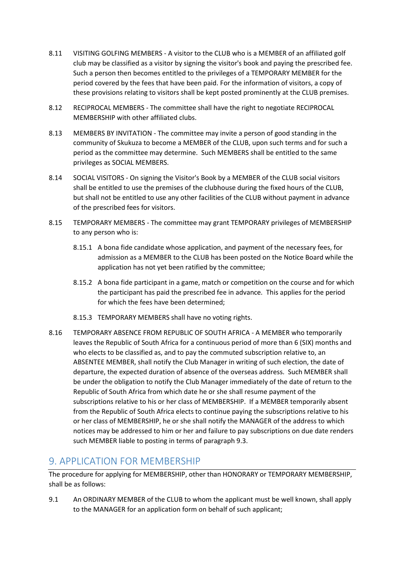- 8.11 VISITING GOLFING MEMBERS A visitor to the CLUB who is a MEMBER of an affiliated golf club may be classified as a visitor by signing the visitor's book and paying the prescribed fee. Such a person then becomes entitled to the privileges of a TEMPORARY MEMBER for the period covered by the fees that have been paid. For the information of visitors, a copy of these provisions relating to visitors shall be kept posted prominently at the CLUB premises.
- 8.12 RECIPROCAL MEMBERS The committee shall have the right to negotiate RECIPROCAL MEMBERSHIP with other affiliated clubs.
- 8.13 MEMBERS BY INVITATION The committee may invite a person of good standing in the community of Skukuza to become a MEMBER of the CLUB, upon such terms and for such a period as the committee may determine. Such MEMBERS shall be entitled to the same privileges as SOCIAL MEMBERS.
- 8.14 SOCIAL VISITORS On signing the Visitor's Book by a MEMBER of the CLUB social visitors shall be entitled to use the premises of the clubhouse during the fixed hours of the CLUB, but shall not be entitled to use any other facilities of the CLUB without payment in advance of the prescribed fees for visitors.
- 8.15 TEMPORARY MEMBERS The committee may grant TEMPORARY privileges of MEMBERSHIP to any person who is:
	- 8.15.1 A bona fide candidate whose application, and payment of the necessary fees, for admission as a MEMBER to the CLUB has been posted on the Notice Board while the application has not yet been ratified by the committee;
	- 8.15.2 A bona fide participant in a game, match or competition on the course and for which the participant has paid the prescribed fee in advance. This applies for the period for which the fees have been determined;
	- 8.15.3 TEMPORARY MEMBERS shall have no voting rights.
- 8.16 TEMPORARY ABSENCE FROM REPUBLIC OF SOUTH AFRICA A MEMBER who temporarily leaves the Republic of South Africa for a continuous period of more than 6 (SIX) months and who elects to be classified as, and to pay the commuted subscription relative to, an ABSENTEE MEMBER, shall notify the Club Manager in writing of such election, the date of departure, the expected duration of absence of the overseas address. Such MEMBER shall be under the obligation to notify the Club Manager immediately of the date of return to the Republic of South Africa from which date he or she shall resume payment of the subscriptions relative to his or her class of MEMBERSHIP. If a MEMBER temporarily absent from the Republic of South Africa elects to continue paying the subscriptions relative to his or her class of MEMBERSHIP, he or she shall notify the MANAGER of the address to which notices may be addressed to him or her and failure to pay subscriptions on due date renders such MEMBER liable to posting in terms of paragraph 9.3.

#### <span id="page-9-0"></span>9. APPLICATION FOR MEMBERSHIP

The procedure for applying for MEMBERSHIP, other than HONORARY or TEMPORARY MEMBERSHIP, shall be as follows:

9.1 An ORDINARY MEMBER of the CLUB to whom the applicant must be well known, shall apply to the MANAGER for an application form on behalf of such applicant;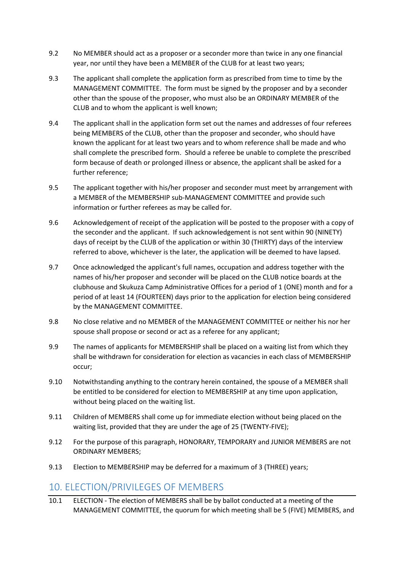- 9.2 No MEMBER should act as a proposer or a seconder more than twice in any one financial year, nor until they have been a MEMBER of the CLUB for at least two years;
- 9.3 The applicant shall complete the application form as prescribed from time to time by the MANAGEMENT COMMITTEE. The form must be signed by the proposer and by a seconder other than the spouse of the proposer, who must also be an ORDINARY MEMBER of the CLUB and to whom the applicant is well known;
- 9.4 The applicant shall in the application form set out the names and addresses of four referees being MEMBERS of the CLUB, other than the proposer and seconder, who should have known the applicant for at least two years and to whom reference shall be made and who shall complete the prescribed form. Should a referee be unable to complete the prescribed form because of death or prolonged illness or absence, the applicant shall be asked for a further reference;
- 9.5 The applicant together with his/her proposer and seconder must meet by arrangement with a MEMBER of the MEMBERSHIP sub-MANAGEMENT COMMITTEE and provide such information or further referees as may be called for.
- 9.6 Acknowledgement of receipt of the application will be posted to the proposer with a copy of the seconder and the applicant. If such acknowledgement is not sent within 90 (NINETY) days of receipt by the CLUB of the application or within 30 (THIRTY) days of the interview referred to above, whichever is the later, the application will be deemed to have lapsed.
- 9.7 Once acknowledged the applicant's full names, occupation and address together with the names of his/her proposer and seconder will be placed on the CLUB notice boards at the clubhouse and Skukuza Camp Administrative Offices for a period of 1 (ONE) month and for a period of at least 14 (FOURTEEN) days prior to the application for election being considered by the MANAGEMENT COMMITTEE.
- 9.8 No close relative and no MEMBER of the MANAGEMENT COMMITTEE or neither his nor her spouse shall propose or second or act as a referee for any applicant;
- 9.9 The names of applicants for MEMBERSHIP shall be placed on a waiting list from which they shall be withdrawn for consideration for election as vacancies in each class of MEMBERSHIP occur;
- 9.10 Notwithstanding anything to the contrary herein contained, the spouse of a MEMBER shall be entitled to be considered for election to MEMBERSHIP at any time upon application, without being placed on the waiting list.
- 9.11 Children of MEMBERS shall come up for immediate election without being placed on the waiting list, provided that they are under the age of 25 (TWENTY-FIVE);
- 9.12 For the purpose of this paragraph, HONORARY, TEMPORARY and JUNIOR MEMBERS are not ORDINARY MEMBERS;
- 9.13 Election to MEMBERSHIP may be deferred for a maximum of 3 (THREE) years;

#### <span id="page-10-0"></span>10. ELECTION/PRIVILEGES OF MEMBERS

10.1 ELECTION - The election of MEMBERS shall be by ballot conducted at a meeting of the MANAGEMENT COMMITTEE, the quorum for which meeting shall be 5 (FIVE) MEMBERS, and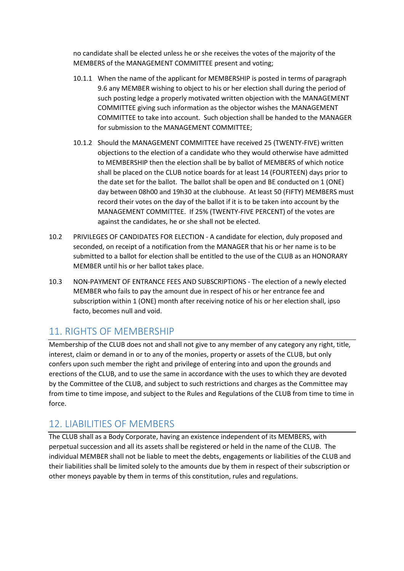no candidate shall be elected unless he or she receives the votes of the majority of the MEMBERS of the MANAGEMENT COMMITTEE present and voting;

- 10.1.1 When the name of the applicant for MEMBERSHIP is posted in terms of paragraph 9.6 any MEMBER wishing to object to his or her election shall during the period of such posting ledge a properly motivated written objection with the MANAGEMENT COMMITTEE giving such information as the objector wishes the MANAGEMENT COMMITTEE to take into account. Such objection shall be handed to the MANAGER for submission to the MANAGEMENT COMMITTEE;
- 10.1.2 Should the MANAGEMENT COMMITTEE have received 25 (TWENTY-FIVE) written objections to the election of a candidate who they would otherwise have admitted to MEMBERSHIP then the election shall be by ballot of MEMBERS of which notice shall be placed on the CLUB notice boards for at least 14 (FOURTEEN) days prior to the date set for the ballot. The ballot shall be open and BE conducted on 1 (ONE) day between 08h00 and 19h30 at the clubhouse. At least 50 (FIFTY) MEMBERS must record their votes on the day of the ballot if it is to be taken into account by the MANAGEMENT COMMITTEE. If 25% (TWENTY-FIVE PERCENT) of the votes are against the candidates, he or she shall not be elected.
- 10.2 PRIVILEGES OF CANDIDATES FOR ELECTION A candidate for election, duly proposed and seconded, on receipt of a notification from the MANAGER that his or her name is to be submitted to a ballot for election shall be entitled to the use of the CLUB as an HONORARY MEMBER until his or her ballot takes place.
- 10.3 NON-PAYMENT OF ENTRANCE FEES AND SUBSCRIPTIONS The election of a newly elected MEMBER who fails to pay the amount due in respect of his or her entrance fee and subscription within 1 (ONE) month after receiving notice of his or her election shall, ipso facto, becomes null and void.

#### <span id="page-11-0"></span>11. RIGHTS OF MEMBERSHIP

Membership of the CLUB does not and shall not give to any member of any category any right, title, interest, claim or demand in or to any of the monies, property or assets of the CLUB, but only confers upon such member the right and privilege of entering into and upon the grounds and erections of the CLUB, and to use the same in accordance with the uses to which they are devoted by the Committee of the CLUB, and subject to such restrictions and charges as the Committee may from time to time impose, and subject to the Rules and Regulations of the CLUB from time to time in force.

## <span id="page-11-1"></span>12. LIABILITIES OF MEMBERS

The CLUB shall as a Body Corporate, having an existence independent of its MEMBERS, with perpetual succession and all its assets shall be registered or held in the name of the CLUB. The individual MEMBER shall not be liable to meet the debts, engagements or liabilities of the CLUB and their liabilities shall be limited solely to the amounts due by them in respect of their subscription or other moneys payable by them in terms of this constitution, rules and regulations.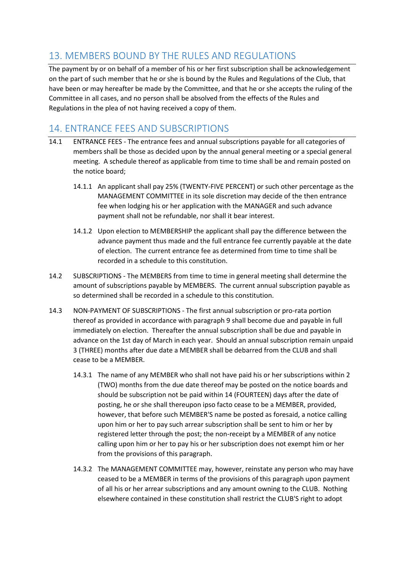## <span id="page-12-0"></span>13. MEMBERS BOUND BY THE RULES AND REGULATIONS

The payment by or on behalf of a member of his or her first subscription shall be acknowledgement on the part of such member that he or she is bound by the Rules and Regulations of the Club, that have been or may hereafter be made by the Committee, and that he or she accepts the ruling of the Committee in all cases, and no person shall be absolved from the effects of the Rules and Regulations in the plea of not having received a copy of them.

## <span id="page-12-1"></span>14. ENTRANCE FEES AND SUBSCRIPTIONS

- 14.1 ENTRANCE FEES The entrance fees and annual subscriptions payable for all categories of members shall be those as decided upon by the annual general meeting or a special general meeting. A schedule thereof as applicable from time to time shall be and remain posted on the notice board;
	- 14.1.1 An applicant shall pay 25% (TWENTY-FIVE PERCENT) or such other percentage as the MANAGEMENT COMMITTEE in its sole discretion may decide of the then entrance fee when lodging his or her application with the MANAGER and such advance payment shall not be refundable, nor shall it bear interest.
	- 14.1.2 Upon election to MEMBERSHIP the applicant shall pay the difference between the advance payment thus made and the full entrance fee currently payable at the date of election. The current entrance fee as determined from time to time shall be recorded in a schedule to this constitution.
- 14.2 SUBSCRIPTIONS The MEMBERS from time to time in general meeting shall determine the amount of subscriptions payable by MEMBERS. The current annual subscription payable as so determined shall be recorded in a schedule to this constitution.
- 14.3 NON-PAYMENT OF SUBSCRIPTIONS The first annual subscription or pro-rata portion thereof as provided in accordance with paragraph 9 shall become due and payable in full immediately on election. Thereafter the annual subscription shall be due and payable in advance on the 1st day of March in each year. Should an annual subscription remain unpaid 3 (THREE) months after due date a MEMBER shall be debarred from the CLUB and shall cease to be a MEMBER.
	- 14.3.1 The name of any MEMBER who shall not have paid his or her subscriptions within 2 (TWO) months from the due date thereof may be posted on the notice boards and should be subscription not be paid within 14 (FOURTEEN) days after the date of posting, he or she shall thereupon ipso facto cease to be a MEMBER, provided, however, that before such MEMBER'S name be posted as foresaid, a notice calling upon him or her to pay such arrear subscription shall be sent to him or her by registered letter through the post; the non-receipt by a MEMBER of any notice calling upon him or her to pay his or her subscription does not exempt him or her from the provisions of this paragraph.
	- 14.3.2 The MANAGEMENT COMMITTEE may, however, reinstate any person who may have ceased to be a MEMBER in terms of the provisions of this paragraph upon payment of all his or her arrear subscriptions and any amount owning to the CLUB. Nothing elsewhere contained in these constitution shall restrict the CLUB'S right to adopt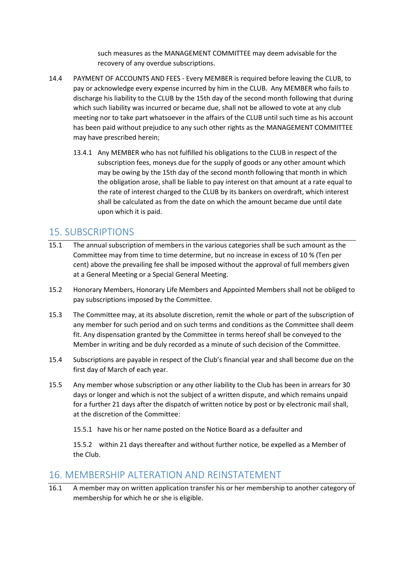such measures as the MANAGEMENT COMMITTEE may deem advisable for the recovery of any overdue subscriptions.

- 14.4 PAYMENT OF ACCOUNTS AND FEES Every MEMBER is required before leaving the CLUB, to pay or acknowledge every expense incurred by him in the CLUB. Any MEMBER who fails to discharge his liability to the CLUB by the 15th day of the second month following that during which such liability was incurred or became due, shall not be allowed to vote at any club meeting nor to take part whatsoever in the affairs of the CLUB until such time as his account has been paid without prejudice to any such other rights as the MANAGEMENT COMMITTEE may have prescribed herein;
	- 13.4.1 Any MEMBER who has not fulfilled his obligations to the CLUB in respect of the subscription fees, moneys due for the supply of goods or any other amount which may be owing by the 15th day of the second month following that month in which the obligation arose, shall be liable to pay interest on that amount at a rate equal to the rate of interest charged to the CLUB by its bankers on overdraft, which interest shall be calculated as from the date on which the amount became due until date upon which it is paid.

#### <span id="page-13-0"></span>15. SUBSCRIPTIONS

- 15.1 The annual subscription of members in the various categories shall be such amount as the Committee may from time to time determine, but no increase in excess of 10 % (Ten per cent) above the prevailing fee shall be imposed without the approval of full members given at a General Meeting or a Special General Meeting.
- 15.2 Honorary Members, Honorary Life Members and Appointed Members shall not be obliged to pay subscriptions imposed by the Committee.
- 15.3 The Committee may, at its absolute discretion, remit the whole or part of the subscription of any member for such period and on such terms and conditions as the Committee shall deem fit. Any dispensation granted by the Committee in terms hereof shall be conveyed to the Member in writing and be duly recorded as a minute of such decision of the Committee.
- 15.4 Subscriptions are payable in respect of the Club's financial year and shall become due on the first day of March of each year.
- 15.5 Any member whose subscription or any other liability to the Club has been in arrears for 30 days or longer and which is not the subject of a written dispute, and which remains unpaid for a further 21 days after the dispatch of written notice by post or by electronic mail shall, at the discretion of the Committee:
	- 15.5.1 have his or her name posted on the Notice Board as a defaulter and

15.5.2 within 21 days thereafter and without further notice, be expelled as a Member of the Club.

#### <span id="page-13-1"></span>16. MEMBERSHIP ALTERATION AND REINSTATEMENT

16.1 A member may on written application transfer his or her membership to another category of membership for which he or she is eligible.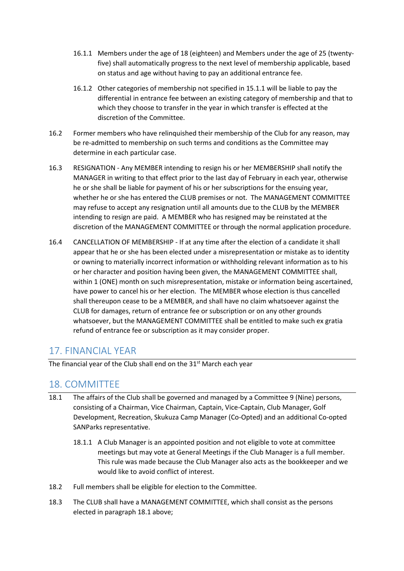- 16.1.1 Members under the age of 18 (eighteen) and Members under the age of 25 (twentyfive) shall automatically progress to the next level of membership applicable, based on status and age without having to pay an additional entrance fee.
- 16.1.2 Other categories of membership not specified in 15.1.1 will be liable to pay the differential in entrance fee between an existing category of membership and that to which they choose to transfer in the year in which transfer is effected at the discretion of the Committee.
- 16.2 Former members who have relinquished their membership of the Club for any reason, may be re-admitted to membership on such terms and conditions as the Committee may determine in each particular case.
- 16.3 RESIGNATION Any MEMBER intending to resign his or her MEMBERSHIP shall notify the MANAGER in writing to that effect prior to the last day of February in each year, otherwise he or she shall be liable for payment of his or her subscriptions for the ensuing year, whether he or she has entered the CLUB premises or not. The MANAGEMENT COMMITTEE may refuse to accept any resignation until all amounts due to the CLUB by the MEMBER intending to resign are paid. A MEMBER who has resigned may be reinstated at the discretion of the MANAGEMENT COMMITTEE or through the normal application procedure.
- 16.4 CANCELLATION OF MEMBERSHIP If at any time after the election of a candidate it shall appear that he or she has been elected under a misrepresentation or mistake as to identity or owning to materially incorrect information or withholding relevant information as to his or her character and position having been given, the MANAGEMENT COMMITTEE shall, within 1 (ONE) month on such misrepresentation, mistake or information being ascertained, have power to cancel his or her election. The MEMBER whose election is thus cancelled shall thereupon cease to be a MEMBER, and shall have no claim whatsoever against the CLUB for damages, return of entrance fee or subscription or on any other grounds whatsoever, but the MANAGEMENT COMMITTEE shall be entitled to make such ex gratia refund of entrance fee or subscription as it may consider proper.

#### <span id="page-14-0"></span>17. FINANCIAL YEAR

The financial year of the Club shall end on the  $31<sup>st</sup>$  March each year

#### <span id="page-14-1"></span>18. COMMITTEE

- 18.1 The affairs of the Club shall be governed and managed by a Committee 9 (Nine) persons, consisting of a Chairman, Vice Chairman, Captain, Vice-Captain, Club Manager, Golf Development, Recreation, Skukuza Camp Manager (Co-Opted) and an additional Co-opted SANParks representative.
	- 18.1.1 A Club Manager is an appointed position and not eligible to vote at committee meetings but may vote at General Meetings if the Club Manager is a full member. This rule was made because the Club Manager also acts as the bookkeeper and we would like to avoid conflict of interest.
- 18.2 Full members shall be eligible for election to the Committee.
- 18.3 The CLUB shall have a MANAGEMENT COMMITTEE, which shall consist as the persons elected in paragraph 18.1 above;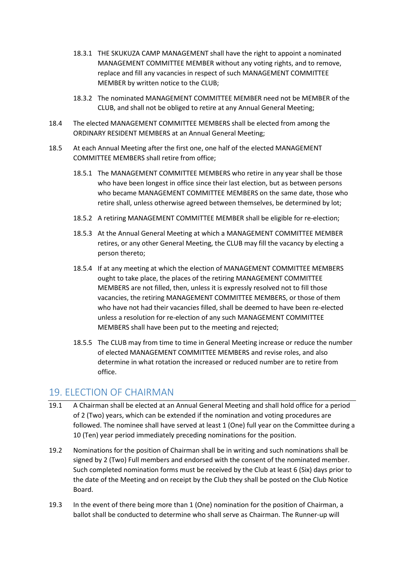- 18.3.1 THE SKUKUZA CAMP MANAGEMENT shall have the right to appoint a nominated MANAGEMENT COMMITTEE MEMBER without any voting rights, and to remove, replace and fill any vacancies in respect of such MANAGEMENT COMMITTEE MEMBER by written notice to the CLUB;
- 18.3.2 The nominated MANAGEMENT COMMITTEE MEMBER need not be MEMBER of the CLUB, and shall not be obliged to retire at any Annual General Meeting;
- 18.4 The elected MANAGEMENT COMMITTEE MEMBERS shall be elected from among the ORDINARY RESIDENT MEMBERS at an Annual General Meeting;
- 18.5 At each Annual Meeting after the first one, one half of the elected MANAGEMENT COMMITTEE MEMBERS shall retire from office;
	- 18.5.1 The MANAGEMENT COMMITTEE MEMBERS who retire in any year shall be those who have been longest in office since their last election, but as between persons who became MANAGEMENT COMMITTEE MEMBERS on the same date, those who retire shall, unless otherwise agreed between themselves, be determined by lot;
	- 18.5.2 A retiring MANAGEMENT COMMITTEE MEMBER shall be eligible for re-election;
	- 18.5.3 At the Annual General Meeting at which a MANAGEMENT COMMITTEE MEMBER retires, or any other General Meeting, the CLUB may fill the vacancy by electing a person thereto;
	- 18.5.4 If at any meeting at which the election of MANAGEMENT COMMITTEE MEMBERS ought to take place, the places of the retiring MANAGEMENT COMMITTEE MEMBERS are not filled, then, unless it is expressly resolved not to fill those vacancies, the retiring MANAGEMENT COMMITTEE MEMBERS, or those of them who have not had their vacancies filled, shall be deemed to have been re-elected unless a resolution for re-election of any such MANAGEMENT COMMITTEE MEMBERS shall have been put to the meeting and rejected;
	- 18.5.5 The CLUB may from time to time in General Meeting increase or reduce the number of elected MANAGEMENT COMMITTEE MEMBERS and revise roles, and also determine in what rotation the increased or reduced number are to retire from office.

#### <span id="page-15-0"></span>19. ELECTION OF CHAIRMAN

- 19.1 A Chairman shall be elected at an Annual General Meeting and shall hold office for a period of 2 (Two) years, which can be extended if the nomination and voting procedures are followed. The nominee shall have served at least 1 (One) full year on the Committee during a 10 (Ten) year period immediately preceding nominations for the position.
- 19.2 Nominations for the position of Chairman shall be in writing and such nominations shall be signed by 2 (Two) Full members and endorsed with the consent of the nominated member. Such completed nomination forms must be received by the Club at least 6 (Six) days prior to the date of the Meeting and on receipt by the Club they shall be posted on the Club Notice Board.
- 19.3 In the event of there being more than 1 (One) nomination for the position of Chairman, a ballot shall be conducted to determine who shall serve as Chairman. The Runner-up will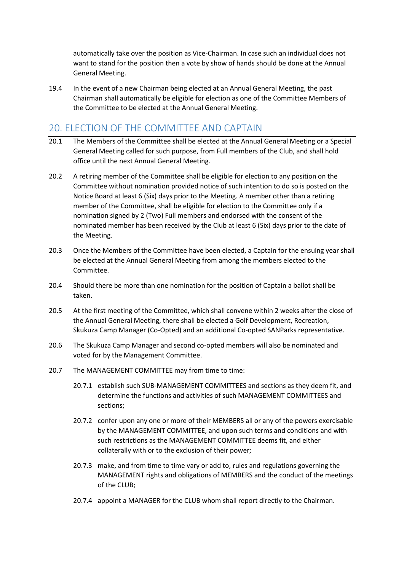automatically take over the position as Vice-Chairman. In case such an individual does not want to stand for the position then a vote by show of hands should be done at the Annual General Meeting.

19.4 In the event of a new Chairman being elected at an Annual General Meeting, the past Chairman shall automatically be eligible for election as one of the Committee Members of the Committee to be elected at the Annual General Meeting.

#### <span id="page-16-0"></span>20. ELECTION OF THE COMMITTEE AND CAPTAIN

- 20.1 The Members of the Committee shall be elected at the Annual General Meeting or a Special General Meeting called for such purpose, from Full members of the Club, and shall hold office until the next Annual General Meeting.
- 20.2 A retiring member of the Committee shall be eligible for election to any position on the Committee without nomination provided notice of such intention to do so is posted on the Notice Board at least 6 (Six) days prior to the Meeting. A member other than a retiring member of the Committee, shall be eligible for election to the Committee only if a nomination signed by 2 (Two) Full members and endorsed with the consent of the nominated member has been received by the Club at least 6 (Six) days prior to the date of the Meeting.
- 20.3 Once the Members of the Committee have been elected, a Captain for the ensuing year shall be elected at the Annual General Meeting from among the members elected to the Committee.
- 20.4 Should there be more than one nomination for the position of Captain a ballot shall be taken.
- 20.5 At the first meeting of the Committee, which shall convene within 2 weeks after the close of the Annual General Meeting, there shall be elected a Golf Development, Recreation, Skukuza Camp Manager (Co-Opted) and an additional Co-opted SANParks representative.
- 20.6 The Skukuza Camp Manager and second co-opted members will also be nominated and voted for by the Management Committee.
- 20.7 The MANAGEMENT COMMITTEE may from time to time:
	- 20.7.1 establish such SUB-MANAGEMENT COMMITTEES and sections as they deem fit, and determine the functions and activities of such MANAGEMENT COMMITTEES and sections;
	- 20.7.2 confer upon any one or more of their MEMBERS all or any of the powers exercisable by the MANAGEMENT COMMITTEE, and upon such terms and conditions and with such restrictions as the MANAGEMENT COMMITTEE deems fit, and either collaterally with or to the exclusion of their power;
	- 20.7.3 make, and from time to time vary or add to, rules and regulations governing the MANAGEMENT rights and obligations of MEMBERS and the conduct of the meetings of the CLUB;
	- 20.7.4 appoint a MANAGER for the CLUB whom shall report directly to the Chairman.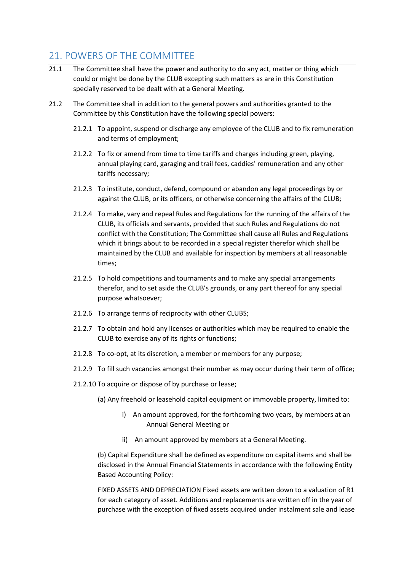#### <span id="page-17-0"></span>21. POWERS OF THE COMMITTEE

- 21.1 The Committee shall have the power and authority to do any act, matter or thing which could or might be done by the CLUB excepting such matters as are in this Constitution specially reserved to be dealt with at a General Meeting.
- 21.2 The Committee shall in addition to the general powers and authorities granted to the Committee by this Constitution have the following special powers:
	- 21.2.1 To appoint, suspend or discharge any employee of the CLUB and to fix remuneration and terms of employment;
	- 21.2.2 To fix or amend from time to time tariffs and charges including green, playing, annual playing card, garaging and trail fees, caddies' remuneration and any other tariffs necessary;
	- 21.2.3 To institute, conduct, defend, compound or abandon any legal proceedings by or against the CLUB, or its officers, or otherwise concerning the affairs of the CLUB;
	- 21.2.4 To make, vary and repeal Rules and Regulations for the running of the affairs of the CLUB, its officials and servants, provided that such Rules and Regulations do not conflict with the Constitution; The Committee shall cause all Rules and Regulations which it brings about to be recorded in a special register therefor which shall be maintained by the CLUB and available for inspection by members at all reasonable times;
	- 21.2.5 To hold competitions and tournaments and to make any special arrangements therefor, and to set aside the CLUB's grounds, or any part thereof for any special purpose whatsoever;
	- 21.2.6 To arrange terms of reciprocity with other CLUBS;
	- 21.2.7 To obtain and hold any licenses or authorities which may be required to enable the CLUB to exercise any of its rights or functions;
	- 21.2.8 To co-opt, at its discretion, a member or members for any purpose;
	- 21.2.9 To fill such vacancies amongst their number as may occur during their term of office;
	- 21.2.10 To acquire or dispose of by purchase or lease;
		- (a) Any freehold or leasehold capital equipment or immovable property, limited to:
			- i) An amount approved, for the forthcoming two years, by members at an Annual General Meeting or
			- ii) An amount approved by members at a General Meeting.

(b) Capital Expenditure shall be defined as expenditure on capital items and shall be disclosed in the Annual Financial Statements in accordance with the following Entity Based Accounting Policy:

FIXED ASSETS AND DEPRECIATION Fixed assets are written down to a valuation of R1 for each category of asset. Additions and replacements are written off in the year of purchase with the exception of fixed assets acquired under instalment sale and lease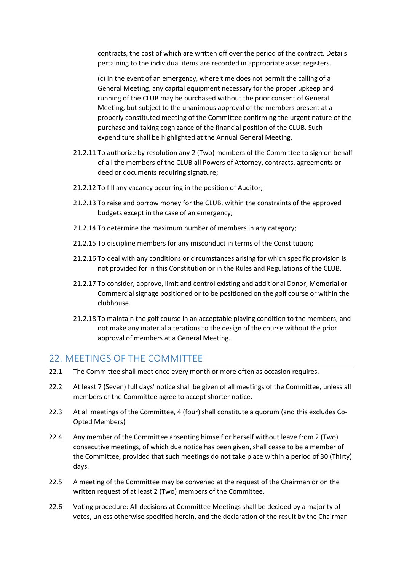contracts, the cost of which are written off over the period of the contract. Details pertaining to the individual items are recorded in appropriate asset registers.

(c) In the event of an emergency, where time does not permit the calling of a General Meeting, any capital equipment necessary for the proper upkeep and running of the CLUB may be purchased without the prior consent of General Meeting, but subject to the unanimous approval of the members present at a properly constituted meeting of the Committee confirming the urgent nature of the purchase and taking cognizance of the financial position of the CLUB. Such expenditure shall be highlighted at the Annual General Meeting.

- 21.2.11 To authorize by resolution any 2 (Two) members of the Committee to sign on behalf of all the members of the CLUB all Powers of Attorney, contracts, agreements or deed or documents requiring signature;
- 21.2.12 To fill any vacancy occurring in the position of Auditor;
- 21.2.13 To raise and borrow money for the CLUB, within the constraints of the approved budgets except in the case of an emergency;
- 21.2.14 To determine the maximum number of members in any category;
- 21.2.15 To discipline members for any misconduct in terms of the Constitution;
- 21.2.16 To deal with any conditions or circumstances arising for which specific provision is not provided for in this Constitution or in the Rules and Regulations of the CLUB.
- 21.2.17 To consider, approve, limit and control existing and additional Donor, Memorial or Commercial signage positioned or to be positioned on the golf course or within the clubhouse.
- 21.2.18 To maintain the golf course in an acceptable playing condition to the members, and not make any material alterations to the design of the course without the prior approval of members at a General Meeting.

#### <span id="page-18-0"></span>22. MEETINGS OF THE COMMITTEE

- 22.1 The Committee shall meet once every month or more often as occasion requires.
- 22.2 At least 7 (Seven) full days' notice shall be given of all meetings of the Committee, unless all members of the Committee agree to accept shorter notice.
- 22.3 At all meetings of the Committee, 4 (four) shall constitute a quorum (and this excludes Co-Opted Members)
- 22.4 Any member of the Committee absenting himself or herself without leave from 2 (Two) consecutive meetings, of which due notice has been given, shall cease to be a member of the Committee, provided that such meetings do not take place within a period of 30 (Thirty) days.
- 22.5 A meeting of the Committee may be convened at the request of the Chairman or on the written request of at least 2 (Two) members of the Committee.
- 22.6 Voting procedure: All decisions at Committee Meetings shall be decided by a majority of votes, unless otherwise specified herein, and the declaration of the result by the Chairman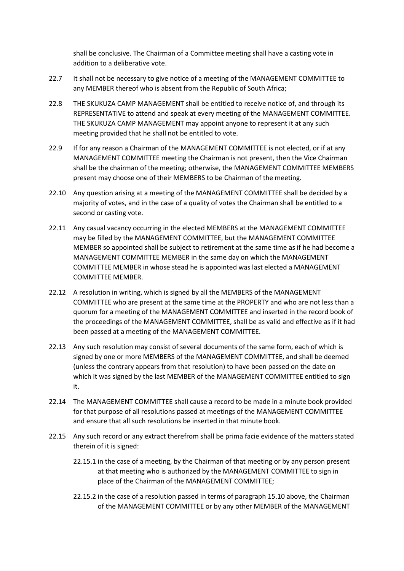shall be conclusive. The Chairman of a Committee meeting shall have a casting vote in addition to a deliberative vote.

- 22.7 It shall not be necessary to give notice of a meeting of the MANAGEMENT COMMITTEE to any MEMBER thereof who is absent from the Republic of South Africa;
- 22.8 THE SKUKUZA CAMP MANAGEMENT shall be entitled to receive notice of, and through its REPRESENTATIVE to attend and speak at every meeting of the MANAGEMENT COMMITTEE. THE SKUKUZA CAMP MANAGEMENT may appoint anyone to represent it at any such meeting provided that he shall not be entitled to vote.
- 22.9 If for any reason a Chairman of the MANAGEMENT COMMITTEE is not elected, or if at any MANAGEMENT COMMITTEE meeting the Chairman is not present, then the Vice Chairman shall be the chairman of the meeting; otherwise, the MANAGEMENT COMMITTEE MEMBERS present may choose one of their MEMBERS to be Chairman of the meeting.
- 22.10 Any question arising at a meeting of the MANAGEMENT COMMITTEE shall be decided by a majority of votes, and in the case of a quality of votes the Chairman shall be entitled to a second or casting vote.
- 22.11 Any casual vacancy occurring in the elected MEMBERS at the MANAGEMENT COMMITTEE may be filled by the MANAGEMENT COMMITTEE, but the MANAGEMENT COMMITTEE MEMBER so appointed shall be subject to retirement at the same time as if he had become a MANAGEMENT COMMITTEE MEMBER in the same day on which the MANAGEMENT COMMITTEE MEMBER in whose stead he is appointed was last elected a MANAGEMENT COMMITTEE MEMBER.
- 22.12 A resolution in writing, which is signed by all the MEMBERS of the MANAGEMENT COMMITTEE who are present at the same time at the PROPERTY and who are not less than a quorum for a meeting of the MANAGEMENT COMMITTEE and inserted in the record book of the proceedings of the MANAGEMENT COMMITTEE, shall be as valid and effective as if it had been passed at a meeting of the MANAGEMENT COMMITTEE.
- 22.13 Any such resolution may consist of several documents of the same form, each of which is signed by one or more MEMBERS of the MANAGEMENT COMMITTEE, and shall be deemed (unless the contrary appears from that resolution) to have been passed on the date on which it was signed by the last MEMBER of the MANAGEMENT COMMITTEE entitled to sign it.
- 22.14 The MANAGEMENT COMMITTEE shall cause a record to be made in a minute book provided for that purpose of all resolutions passed at meetings of the MANAGEMENT COMMITTEE and ensure that all such resolutions be inserted in that minute book.
- 22.15 Any such record or any extract therefrom shall be prima facie evidence of the matters stated therein of it is signed:
	- 22.15.1 in the case of a meeting, by the Chairman of that meeting or by any person present at that meeting who is authorized by the MANAGEMENT COMMITTEE to sign in place of the Chairman of the MANAGEMENT COMMITTEE;
	- 22.15.2 in the case of a resolution passed in terms of paragraph 15.10 above, the Chairman of the MANAGEMENT COMMITTEE or by any other MEMBER of the MANAGEMENT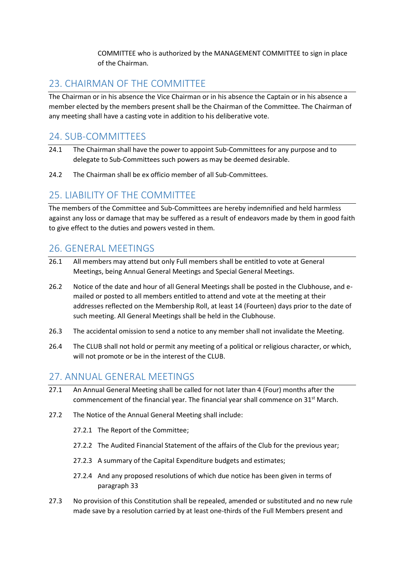COMMITTEE who is authorized by the MANAGEMENT COMMITTEE to sign in place of the Chairman.

#### <span id="page-20-0"></span>23. CHAIRMAN OF THE COMMITTEE

The Chairman or in his absence the Vice Chairman or in his absence the Captain or in his absence a member elected by the members present shall be the Chairman of the Committee. The Chairman of any meeting shall have a casting vote in addition to his deliberative vote.

#### <span id="page-20-1"></span>24. SUB-COMMITTEES

- 24.1 The Chairman shall have the power to appoint Sub-Committees for any purpose and to delegate to Sub-Committees such powers as may be deemed desirable.
- 24.2 The Chairman shall be ex officio member of all Sub-Committees.

## <span id="page-20-2"></span>25. LIABILITY OF THE COMMITTEE

The members of the Committee and Sub-Committees are hereby indemnified and held harmless against any loss or damage that may be suffered as a result of endeavors made by them in good faith to give effect to the duties and powers vested in them.

#### <span id="page-20-3"></span>26. GENERAL MEETINGS

- 26.1 All members may attend but only Full members shall be entitled to vote at General Meetings, being Annual General Meetings and Special General Meetings.
- 26.2 Notice of the date and hour of all General Meetings shall be posted in the Clubhouse, and emailed or posted to all members entitled to attend and vote at the meeting at their addresses reflected on the Membership Roll, at least 14 (Fourteen) days prior to the date of such meeting. All General Meetings shall be held in the Clubhouse.
- 26.3 The accidental omission to send a notice to any member shall not invalidate the Meeting.
- 26.4 The CLUB shall not hold or permit any meeting of a political or religious character, or which, will not promote or be in the interest of the CLUB.

#### <span id="page-20-4"></span>27. ANNUAL GENERAL MEETINGS

- 27.1 An Annual General Meeting shall be called for not later than 4 (Four) months after the commencement of the financial year. The financial year shall commence on  $31<sup>st</sup>$  March.
- 27.2 The Notice of the Annual General Meeting shall include:
	- 27.2.1 The Report of the Committee;
	- 27.2.2 The Audited Financial Statement of the affairs of the Club for the previous year;
	- 27.2.3 A summary of the Capital Expenditure budgets and estimates;
	- 27.2.4 And any proposed resolutions of which due notice has been given in terms of paragraph 33
- 27.3 No provision of this Constitution shall be repealed, amended or substituted and no new rule made save by a resolution carried by at least one-thirds of the Full Members present and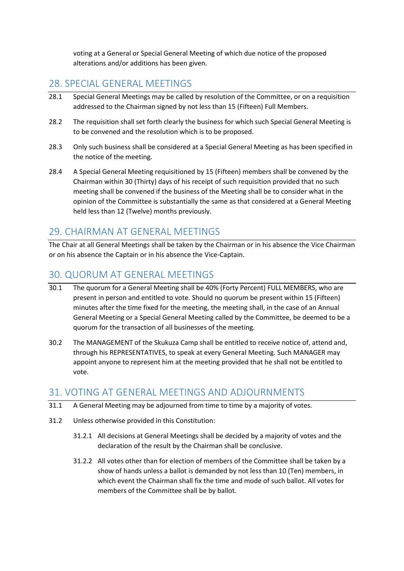voting at a General or Special General Meeting of which due notice of the proposed alterations and/or additions has been given.

#### <span id="page-21-0"></span>28. SPECIAL GENERAL MEETINGS

- 28.1 Special General Meetings may be called by resolution of the Committee, or on a requisition addressed to the Chairman signed by not less than 15 (Fifteen) Full Members.
- 28.2 The requisition shall set forth clearly the business for which such Special General Meeting is to be convened and the resolution which is to be proposed.
- 28.3 Only such business shall be considered at a Special General Meeting as has been specified in the notice of the meeting.
- 28.4 A Special General Meeting requisitioned by 15 (Fifteen) members shall be convened by the Chairman within 30 (Thirty) days of his receipt of such requisition provided that no such meeting shall be convened if the business of the Meeting shall be to consider what in the opinion of the Committee is substantially the same as that considered at a General Meeting held less than 12 (Twelve) months previously.

#### <span id="page-21-1"></span>29. CHAIRMAN AT GENERAL MEETINGS

The Chair at all General Meetings shall be taken by the Chairman or in his absence the Vice Chairman or on his absence the Captain or in his absence the Vice-Captain.

#### <span id="page-21-2"></span>30. QUORUM AT GENERAL MEETINGS

- 30.1 The quorum for a General Meeting shall be 40% (Forty Percent) FULL MEMBERS, who are present in person and entitled to vote. Should no quorum be present within 15 (Fifteen) minutes after the time fixed for the meeting, the meeting shall, in the case of an Annual General Meeting or a Special General Meeting called by the Committee, be deemed to be a quorum for the transaction of all businesses of the meeting.
- 30.2 The MANAGEMENT of the Skukuza Camp shall be entitled to receive notice of, attend and, through his REPRESENTATIVES, to speak at every General Meeting. Such MANAGER may appoint anyone to represent him at the meeting provided that he shall not be entitled to vote.

#### <span id="page-21-3"></span>31. VOTING AT GENERAL MEETINGS AND ADJOURNMENTS

- 31.1 A General Meeting may be adjourned from time to time by a majority of votes.
- 31.2 Unless otherwise provided in this Constitution:
	- 31.2.1 All decisions at General Meetings shall be decided by a majority of votes and the declaration of the result by the Chairman shall be conclusive.
	- 31.2.2 All votes other than for election of members of the Committee shall be taken by a show of hands unless a ballot is demanded by not less than 10 (Ten) members, in which event the Chairman shall fix the time and mode of such ballot. All votes for members of the Committee shall be by ballot.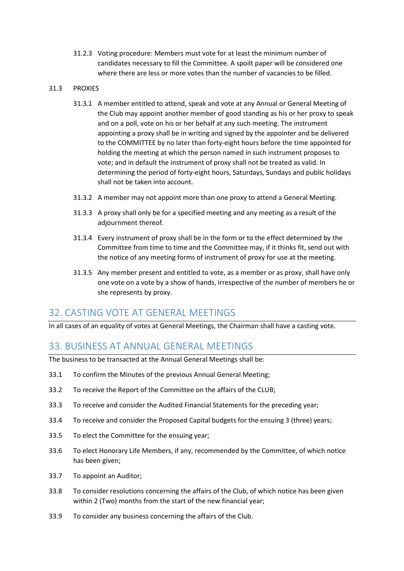31.2.3 Voting procedure: Members must vote for at least the minimum number of candidates necessary to fill the Committee. A spoilt paper will be considered one where there are less or more votes than the number of vacancies to be filled.

#### 31.3 PROXIES

- 31.3.1 A member entitled to attend, speak and vote at any Annual or General Meeting of the Club may appoint another member of good standing as his or her proxy to speak and on a poll, vote on his or her behalf at any such meeting. The instrument appointing a proxy shall be in writing and signed by the appointer and be delivered to the COMMITTEE by no later than forty-eight hours before the time appointed for holding the meeting at which the person named in such instrument proposes to vote; and in default the instrument of proxy shall not be treated as valid. In determining the period of forty-eight hours, Saturdays, Sundays and public holidays shall not be taken into account.
- 31.3.2 A member may not appoint more than one proxy to attend a General Meeting.
- 31.3.3 A proxy shall only be for a specified meeting and any meeting as a result of the adiournment thereof.
- 31.3.4 Every instrument of proxy shall be in the form or to the effect determined by the Committee from time to time and the Committee may, if it thinks fit, send out with the notice of any meeting forms of instrument of proxy for use at the meeting.
- 31.3.5 Any member present and entitled to vote, as a member or as proxy, shall have only one vote on a vote by a show of hands, irrespective of the number of members he or she represents by proxy.

#### <span id="page-22-0"></span>32. CASTING VOTE AT GENERAL MEETINGS

In all cases of an equality of votes at General Meetings, the Chairman shall have a casting vote.

#### <span id="page-22-1"></span>33. BUSINESS AT ANNUAL GENERAL MEETINGS

The business to be transacted at the Annual General Meetings shall be:

- 33.1 To confirm the Minutes of the previous Annual General Meeting;
- 33.2 To receive the Report of the Committee on the affairs of the CLUB;
- 33.3 To receive and consider the Audited Financial Statements for the preceding year;
- 33.4 To receive and consider the Proposed Capital budgets for the ensuing 3 (three) years;
- 33.5 To elect the Committee for the ensuing year;
- 33.6 To elect Honorary Life Members, if any, recommended by the Committee, of which notice has been given;
- 33.7 To appoint an Auditor;
- 33.8 To consider resolutions concerning the affairs of the Club, of which notice has been given within 2 (Two) months from the start of the new financial year;
- 33.9 To consider any business concerning the affairs of the Club.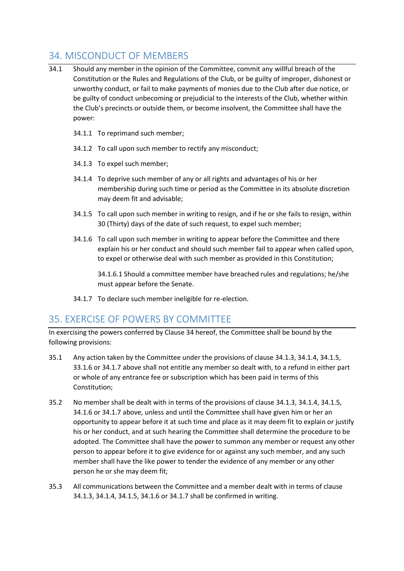### <span id="page-23-0"></span>34. MISCONDUCT OF MEMBERS

- 34.1 Should any member in the opinion of the Committee, commit any willful breach of the Constitution or the Rules and Regulations of the Club, or be guilty of improper, dishonest or unworthy conduct, or fail to make payments of monies due to the Club after due notice, or be guilty of conduct unbecoming or prejudicial to the interests of the Club, whether within the Club's precincts or outside them, or become insolvent, the Committee shall have the power:
	- 34.1.1 To reprimand such member;
	- 34.1.2 To call upon such member to rectify any misconduct;
	- 34.1.3 To expel such member;
	- 34.1.4 To deprive such member of any or all rights and advantages of his or her membership during such time or period as the Committee in its absolute discretion may deem fit and advisable;
	- 34.1.5 To call upon such member in writing to resign, and if he or she fails to resign, within 30 (Thirty) days of the date of such request, to expel such member;
	- 34.1.6 To call upon such member in writing to appear before the Committee and there explain his or her conduct and should such member fail to appear when called upon, to expel or otherwise deal with such member as provided in this Constitution;

34.1.6.1 Should a committee member have breached rules and regulations; he/she must appear before the Senate.

34.1.7 To declare such member ineligible for re-election.

#### <span id="page-23-1"></span>35. EXERCISE OF POWERS BY COMMITTEE

In exercising the powers conferred by Clause 34 hereof, the Committee shall be bound by the following provisions:

- 35.1 Any action taken by the Committee under the provisions of clause 34.1.3, 34.1.4, 34.1.5, 33.1.6 or 34.1.7 above shall not entitle any member so dealt with, to a refund in either part or whole of any entrance fee or subscription which has been paid in terms of this Constitution;
- 35.2 No member shall be dealt with in terms of the provisions of clause 34.1.3, 34.1.4, 34.1.5, 34.1.6 or 34.1.7 above, unless and until the Committee shall have given him or her an opportunity to appear before it at such time and place as it may deem fit to explain or justify his or her conduct, and at such hearing the Committee shall determine the procedure to be adopted. The Committee shall have the power to summon any member or request any other person to appear before it to give evidence for or against any such member, and any such member shall have the like power to tender the evidence of any member or any other person he or she may deem fit;
- 35.3 All communications between the Committee and a member dealt with in terms of clause 34.1.3, 34.1.4, 34.1.5, 34.1.6 or 34.1.7 shall be confirmed in writing.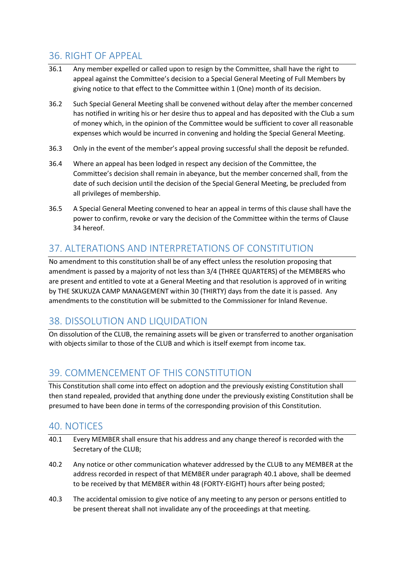#### <span id="page-24-0"></span>36. RIGHT OF APPEAL

- 36.1 Any member expelled or called upon to resign by the Committee, shall have the right to appeal against the Committee's decision to a Special General Meeting of Full Members by giving notice to that effect to the Committee within 1 (One) month of its decision.
- 36.2 Such Special General Meeting shall be convened without delay after the member concerned has notified in writing his or her desire thus to appeal and has deposited with the Club a sum of money which, in the opinion of the Committee would be sufficient to cover all reasonable expenses which would be incurred in convening and holding the Special General Meeting.
- 36.3 Only in the event of the member's appeal proving successful shall the deposit be refunded.
- 36.4 Where an appeal has been lodged in respect any decision of the Committee, the Committee's decision shall remain in abeyance, but the member concerned shall, from the date of such decision until the decision of the Special General Meeting, be precluded from all privileges of membership.
- 36.5 A Special General Meeting convened to hear an appeal in terms of this clause shall have the power to confirm, revoke or vary the decision of the Committee within the terms of Clause 34 hereof.

#### <span id="page-24-1"></span>37. ALTERATIONS AND INTERPRETATIONS OF CONSTITUTION

No amendment to this constitution shall be of any effect unless the resolution proposing that amendment is passed by a majority of not less than 3/4 (THREE QUARTERS) of the MEMBERS who are present and entitled to vote at a General Meeting and that resolution is approved of in writing by THE SKUKUZA CAMP MANAGEMENT within 30 (THIRTY) days from the date it is passed. Any amendments to the constitution will be submitted to the Commissioner for Inland Revenue.

#### <span id="page-24-2"></span>38. DISSOLUTION AND LIQUIDATION

On dissolution of the CLUB, the remaining assets will be given or transferred to another organisation with objects similar to those of the CLUB and which is itself exempt from income tax.

#### <span id="page-24-3"></span>39. COMMENCEMENT OF THIS CONSTITUTION

This Constitution shall come into effect on adoption and the previously existing Constitution shall then stand repealed, provided that anything done under the previously existing Constitution shall be presumed to have been done in terms of the corresponding provision of this Constitution.

#### <span id="page-24-4"></span>40. NOTICES

- 40.1 Every MEMBER shall ensure that his address and any change thereof is recorded with the Secretary of the CLUB;
- 40.2 Any notice or other communication whatever addressed by the CLUB to any MEMBER at the address recorded in respect of that MEMBER under paragraph 40.1 above, shall be deemed to be received by that MEMBER within 48 (FORTY-EIGHT) hours after being posted;
- 40.3 The accidental omission to give notice of any meeting to any person or persons entitled to be present thereat shall not invalidate any of the proceedings at that meeting.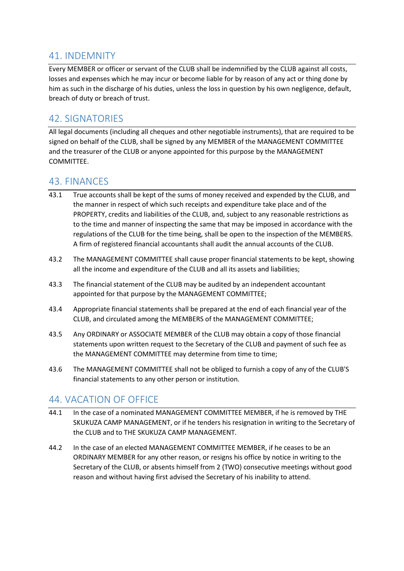#### <span id="page-25-0"></span>41. INDEMNITY

Every MEMBER or officer or servant of the CLUB shall be indemnified by the CLUB against all costs, losses and expenses which he may incur or become liable for by reason of any act or thing done by him as such in the discharge of his duties, unless the loss in question by his own negligence, default, breach of duty or breach of trust.

#### <span id="page-25-1"></span>42. SIGNATORIES

All legal documents (including all cheques and other negotiable instruments), that are required to be signed on behalf of the CLUB, shall be signed by any MEMBER of the MANAGEMENT COMMITTEE and the treasurer of the CLUB or anyone appointed for this purpose by the MANAGEMENT COMMITTEE.

#### <span id="page-25-2"></span>43. FINANCES

- 43.1 True accounts shall be kept of the sums of money received and expended by the CLUB, and the manner in respect of which such receipts and expenditure take place and of the PROPERTY, credits and liabilities of the CLUB, and, subject to any reasonable restrictions as to the time and manner of inspecting the same that may be imposed in accordance with the regulations of the CLUB for the time being, shall be open to the inspection of the MEMBERS. A firm of registered financial accountants shall audit the annual accounts of the CLUB.
- 43.2 The MANAGEMENT COMMITTEE shall cause proper financial statements to be kept, showing all the income and expenditure of the CLUB and all its assets and liabilities;
- 43.3 The financial statement of the CLUB may be audited by an independent accountant appointed for that purpose by the MANAGEMENT COMMITTEE;
- 43.4 Appropriate financial statements shall be prepared at the end of each financial year of the CLUB, and circulated among the MEMBERS of the MANAGEMENT COMMITTEE;
- 43.5 Any ORDINARY or ASSOCIATE MEMBER of the CLUB may obtain a copy of those financial statements upon written request to the Secretary of the CLUB and payment of such fee as the MANAGEMENT COMMITTEE may determine from time to time;
- 43.6 The MANAGEMENT COMMITTEE shall not be obliged to furnish a copy of any of the CLUB'S financial statements to any other person or institution.

#### <span id="page-25-3"></span>44. VACATION OF OFFICE

- 44.1 In the case of a nominated MANAGEMENT COMMITTEE MEMBER, if he is removed by THE SKUKUZA CAMP MANAGEMENT, or if he tenders his resignation in writing to the Secretary of the CLUB and to THE SKUKUZA CAMP MANAGEMENT.
- 44.2 In the case of an elected MANAGEMENT COMMITTEE MEMBER, if he ceases to be an ORDINARY MEMBER for any other reason, or resigns his office by notice in writing to the Secretary of the CLUB, or absents himself from 2 (TWO) consecutive meetings without good reason and without having first advised the Secretary of his inability to attend.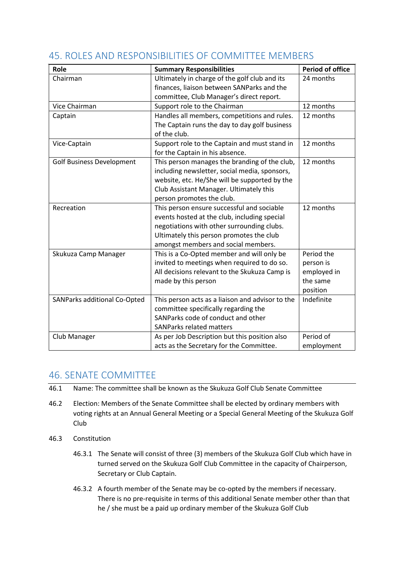| Role                             | <b>Summary Responsibilities</b>                  | <b>Period of office</b> |
|----------------------------------|--------------------------------------------------|-------------------------|
| Chairman                         | Ultimately in charge of the golf club and its    | 24 months               |
|                                  | finances, liaison between SANParks and the       |                         |
|                                  | committee, Club Manager's direct report.         |                         |
| Vice Chairman                    | Support role to the Chairman                     | 12 months               |
| Captain                          | Handles all members, competitions and rules.     | 12 months               |
|                                  | The Captain runs the day to day golf business    |                         |
|                                  | of the club.                                     |                         |
| Vice-Captain                     | Support role to the Captain and must stand in    | 12 months               |
|                                  | for the Captain in his absence.                  |                         |
| <b>Golf Business Development</b> | This person manages the branding of the club,    | 12 months               |
|                                  | including newsletter, social media, sponsors,    |                         |
|                                  | website, etc. He/She will be supported by the    |                         |
|                                  | Club Assistant Manager. Ultimately this          |                         |
|                                  | person promotes the club.                        |                         |
| Recreation                       | This person ensure successful and sociable       | 12 months               |
|                                  | events hosted at the club, including special     |                         |
|                                  | negotiations with other surrounding clubs.       |                         |
|                                  | Ultimately this person promotes the club         |                         |
|                                  | amongst members and social members.              |                         |
| Skukuza Camp Manager             | This is a Co-Opted member and will only be       | Period the              |
|                                  | invited to meetings when required to do so.      | person is               |
|                                  | All decisions relevant to the Skukuza Camp is    | employed in             |
|                                  | made by this person                              | the same                |
|                                  |                                                  | position                |
| SANParks additional Co-Opted     | This person acts as a liaison and advisor to the | Indefinite              |
|                                  | committee specifically regarding the             |                         |
|                                  | SANParks code of conduct and other               |                         |
|                                  | <b>SANParks related matters</b>                  |                         |
| Club Manager                     | As per Job Description but this position also    | Period of               |
|                                  | acts as the Secretary for the Committee.         | employment              |

#### 45. ROLES AND RESPONSIBILITIES OF COMMITTEE MEMBERS

#### 46. SENATE COMMITTEE

- 46.1 Name: The committee shall be known as the Skukuza Golf Club Senate Committee
- 46.2 Election: Members of the Senate Committee shall be elected by ordinary members with voting rights at an Annual General Meeting or a Special General Meeting of the Skukuza Golf Club
- 46.3 Constitution
	- 46.3.1 The Senate will consist of three (3) members of the Skukuza Golf Club which have in turned served on the Skukuza Golf Club Committee in the capacity of Chairperson, Secretary or Club Captain.
	- 46.3.2 A fourth member of the Senate may be co-opted by the members if necessary. There is no pre-requisite in terms of this additional Senate member other than that he / she must be a paid up ordinary member of the Skukuza Golf Club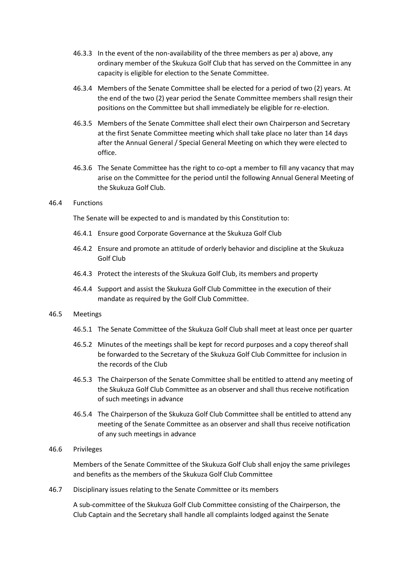- 46.3.3 In the event of the non-availability of the three members as per a) above, any ordinary member of the Skukuza Golf Club that has served on the Committee in any capacity is eligible for election to the Senate Committee.
- 46.3.4 Members of the Senate Committee shall be elected for a period of two (2) years. At the end of the two (2) year period the Senate Committee members shall resign their positions on the Committee but shall immediately be eligible for re-election.
- 46.3.5 Members of the Senate Committee shall elect their own Chairperson and Secretary at the first Senate Committee meeting which shall take place no later than 14 days after the Annual General / Special General Meeting on which they were elected to office.
- 46.3.6 The Senate Committee has the right to co-opt a member to fill any vacancy that may arise on the Committee for the period until the following Annual General Meeting of the Skukuza Golf Club.

#### 46.4 Functions

The Senate will be expected to and is mandated by this Constitution to:

- 46.4.1 Ensure good Corporate Governance at the Skukuza Golf Club
- 46.4.2 Ensure and promote an attitude of orderly behavior and discipline at the Skukuza Golf Club
- 46.4.3 Protect the interests of the Skukuza Golf Club, its members and property
- 46.4.4 Support and assist the Skukuza Golf Club Committee in the execution of their mandate as required by the Golf Club Committee.

#### 46.5 Meetings

- 46.5.1 The Senate Committee of the Skukuza Golf Club shall meet at least once per quarter
- 46.5.2 Minutes of the meetings shall be kept for record purposes and a copy thereof shall be forwarded to the Secretary of the Skukuza Golf Club Committee for inclusion in the records of the Club
- 46.5.3 The Chairperson of the Senate Committee shall be entitled to attend any meeting of the Skukuza Golf Club Committee as an observer and shall thus receive notification of such meetings in advance
- 46.5.4 The Chairperson of the Skukuza Golf Club Committee shall be entitled to attend any meeting of the Senate Committee as an observer and shall thus receive notification of any such meetings in advance

#### 46.6 Privileges

Members of the Senate Committee of the Skukuza Golf Club shall enjoy the same privileges and benefits as the members of the Skukuza Golf Club Committee

46.7 Disciplinary issues relating to the Senate Committee or its members

A sub-committee of the Skukuza Golf Club Committee consisting of the Chairperson, the Club Captain and the Secretary shall handle all complaints lodged against the Senate